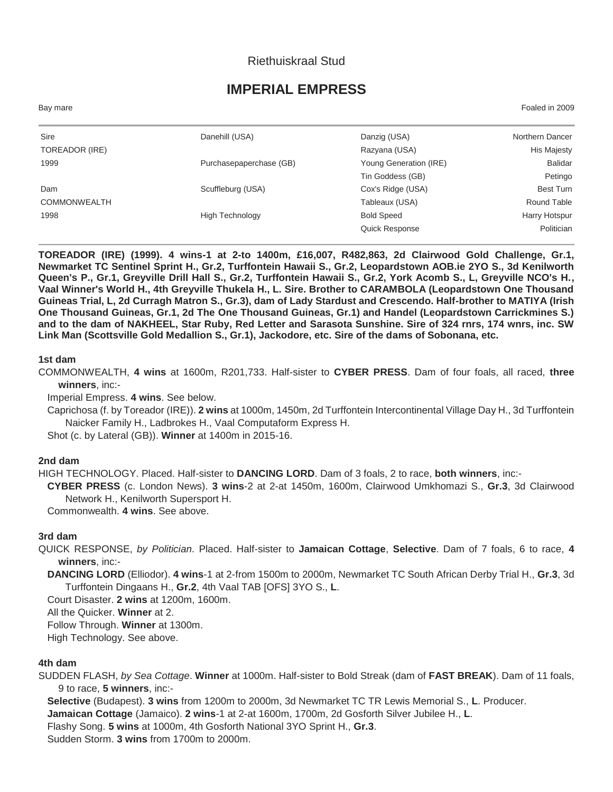## Riethuiskraal Stud

# **IMPERIAL EMPRESS**

Bay mare Foaled in 2009

| Sire                | Danehill (USA)          | Danzig (USA)           | Northern Dancer |
|---------------------|-------------------------|------------------------|-----------------|
| TOREADOR (IRE)      |                         | Razyana (USA)          | His Majesty     |
| 1999                | Purchasepaperchase (GB) | Young Generation (IRE) | <b>Balidar</b>  |
|                     |                         | Tin Goddess (GB)       | Petingo         |
| Dam                 | Scuffleburg (USA)       | Cox's Ridge (USA)      | Best Turn       |
| <b>COMMONWEALTH</b> |                         | Tableaux (USA)         | Round Table     |
| 1998                | <b>High Technology</b>  | <b>Bold Speed</b>      | Harry Hotspur   |
|                     |                         | <b>Quick Response</b>  | Politician      |
|                     |                         |                        |                 |

**TOREADOR (IRE) (1999). 4 wins-1 at 2-to 1400m, £16,007, R482,863, 2d Clairwood Gold Challenge, Gr.1, Newmarket TC Sentinel Sprint H., Gr.2, Turffontein Hawaii S., Gr.2, Leopardstown AOB.ie 2YO S., 3d Kenilworth Queen's P., Gr.1, Greyville Drill Hall S., Gr.2, Turffontein Hawaii S., Gr.2, York Acomb S., L, Greyville NCO's H., Vaal Winner's World H., 4th Greyville Thukela H., L. Sire. Brother to CARAMBOLA (Leopardstown One Thousand Guineas Trial, L, 2d Curragh Matron S., Gr.3), dam of Lady Stardust and Crescendo. Half-brother to MATIYA (Irish One Thousand Guineas, Gr.1, 2d The One Thousand Guineas, Gr.1) and Handel (Leopardstown Carrickmines S.) and to the dam of NAKHEEL, Star Ruby, Red Letter and Sarasota Sunshine. Sire of 324 rnrs, 174 wnrs, inc. SW Link Man (Scottsville Gold Medallion S., Gr.1), Jackodore, etc. Sire of the dams of Sobonana, etc.**

#### **1st dam**

COMMONWEALTH, **4 wins** at 1600m, R201,733. Half-sister to **CYBER PRESS**. Dam of four foals, all raced, **three winners**, inc:-

Imperial Empress. **4 wins**. See below.

Caprichosa (f. by Toreador (IRE)). **2 wins** at 1000m, 1450m, 2d Turffontein Intercontinental Village Day H., 3d Turffontein Naicker Family H., Ladbrokes H., Vaal Computaform Express H.

Shot (c. by Lateral (GB)). **Winner** at 1400m in 2015-16.

#### **2nd dam**

HIGH TECHNOLOGY. Placed. Half-sister to **DANCING LORD**. Dam of 3 foals, 2 to race, **both winners**, inc:-

**CYBER PRESS** (c. London News). **3 wins**-2 at 2-at 1450m, 1600m, Clairwood Umkhomazi S., **Gr.3**, 3d Clairwood Network H., Kenilworth Supersport H.

Commonwealth. **4 wins**. See above.

#### **3rd dam**

QUICK RESPONSE, *by Politician*. Placed. Half-sister to **Jamaican Cottage**, **Selective**. Dam of 7 foals, 6 to race, **4 winners**, inc:-

**DANCING LORD** (Elliodor). **4 wins**-1 at 2-from 1500m to 2000m, Newmarket TC South African Derby Trial H., **Gr.3**, 3d Turffontein Dingaans H., **Gr.2**, 4th Vaal TAB [OFS] 3YO S., **L**.

Court Disaster. **2 wins** at 1200m, 1600m.

All the Quicker. **Winner** at 2.

Follow Through. **Winner** at 1300m.

High Technology. See above.

#### **4th dam**

SUDDEN FLASH, *by Sea Cottage*. **Winner** at 1000m. Half-sister to Bold Streak (dam of **FAST BREAK**). Dam of 11 foals, 9 to race, **5 winners**, inc:-

**Selective** (Budapest). **3 wins** from 1200m to 2000m, 3d Newmarket TC TR Lewis Memorial S., **L**. Producer.

**Jamaican Cottage** (Jamaico). **2 wins**-1 at 2-at 1600m, 1700m, 2d Gosforth Silver Jubilee H., **L**.

Flashy Song. **5 wins** at 1000m, 4th Gosforth National 3YO Sprint H., **Gr.3**.

Sudden Storm. **3 wins** from 1700m to 2000m.